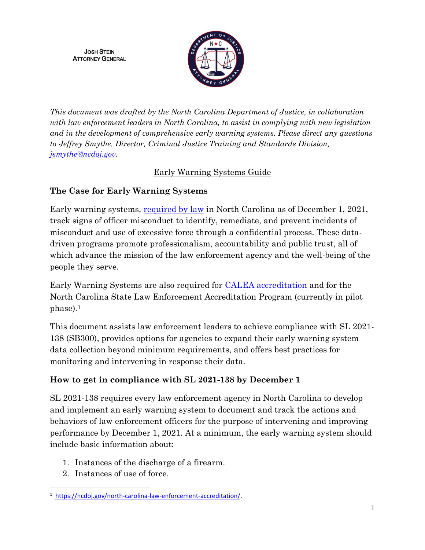JOSH STEIN ATTORNEY GENERAL



*This document was drafted by the North Carolina Department of Justice, in collaboration with law enforcement leaders in North Carolina, to assist in complying with new legislation and in the development of comprehensive early warning systems. Please direct any questions to Jeffrey Smythe, Director, Criminal Justice Training and Standards Division, [jsmythe@ncdoj.gov.](mailto:jsmythe@ncdoj.gov)* 

### Early Warning Systems Guide

## **The Case for Early Warning Systems**

Early warning systems, [required by law](https://www.ncleg.gov/Sessions/2021/Bills/Senate/PDF/S300v8.pdf) in North Carolina as of December 1, 2021, track signs of officer misconduct to identify, remediate, and prevent incidents of misconduct and use of excessive force through a confidential process. These datadriven programs promote professionalism, accountability and public trust, all of which advance the mission of the law enforcement agency and the well-being of the people they serve.

Early Warning Systems are also required for [CALEA accreditation](https://www.calea.org/node/11406) and for the North Carolina State Law Enforcement Accreditation Program (currently in pilot phase).<sup>1</sup>

This document assists law enforcement leaders to achieve compliance with SL 2021- 138 (SB300), provides options for agencies to expand their early warning system data collection beyond minimum requirements, and offers best practices for monitoring and intervening in response their data.

# **How to get in compliance with SL 2021-138 by December 1**

SL 2021-138 requires every law enforcement agency in North Carolina to develop and implement an early warning system to document and track the actions and behaviors of law enforcement officers for the purpose of intervening and improving performance by December 1, 2021. At a minimum, the early warning system should include basic information about:

- 1. Instances of the discharge of a firearm.
- 2. Instances of use of force.

 $\overline{\phantom{a}}$ <sup>1</sup> [https://ncdoj.gov/north-carolina-law-enforcement-accreditation/.](https://ncdoj.gov/north-carolina-law-enforcement-accreditation/)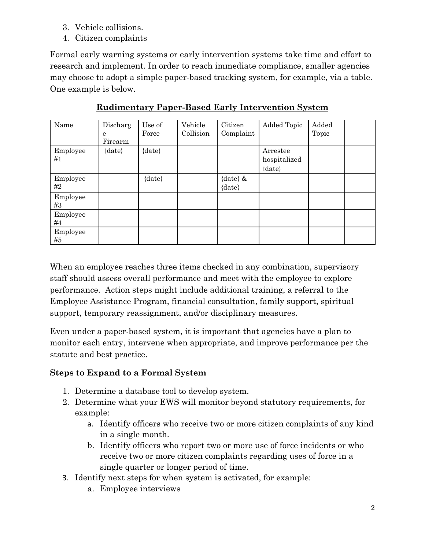- 3. Vehicle collisions.
- 4. Citizen complaints

Formal early warning systems or early intervention systems take time and effort to research and implement. In order to reach immediate compliance, smaller agencies may choose to adopt a simple paper-based tracking system, for example, via a table. One example is below.

| Name           | Discharg<br>e<br>Firearm | Use of<br>Force | Vehicle<br>Collision | Citizen<br>Complaint      | Added Topic                            | Added<br>Topic |  |
|----------------|--------------------------|-----------------|----------------------|---------------------------|----------------------------------------|----------------|--|
| Employee<br>#1 | $\{date\}$               | $\{date\}$      |                      |                           | Arrestee<br>hospitalized<br>$\{date\}$ |                |  |
| Employee<br>#2 |                          | $\{date\}$      |                      | {date} $\&$<br>$\{date\}$ |                                        |                |  |
| Employee<br>#3 |                          |                 |                      |                           |                                        |                |  |
| Employee<br>#4 |                          |                 |                      |                           |                                        |                |  |
| Employee<br>#5 |                          |                 |                      |                           |                                        |                |  |

**Rudimentary Paper-Based Early Intervention System**

When an employee reaches three items checked in any combination, supervisory staff should assess overall performance and meet with the employee to explore performance. Action steps might include additional training, a referral to the Employee Assistance Program, financial consultation, family support, spiritual support, temporary reassignment, and/or disciplinary measures.

Even under a paper-based system, it is important that agencies have a plan to monitor each entry, intervene when appropriate, and improve performance per the statute and best practice.

### **Steps to Expand to a Formal System**

- 1. Determine a database tool to develop system.
- 2. Determine what your EWS will monitor beyond statutory requirements, for example:
	- a. Identify officers who receive two or more citizen complaints of any kind in a single month.
	- b. Identify officers who report two or more use of force incidents or who receive two or more citizen complaints regarding uses of force in a single quarter or longer period of time.
- 3. Identify next steps for when system is activated, for example:
	- a. Employee interviews